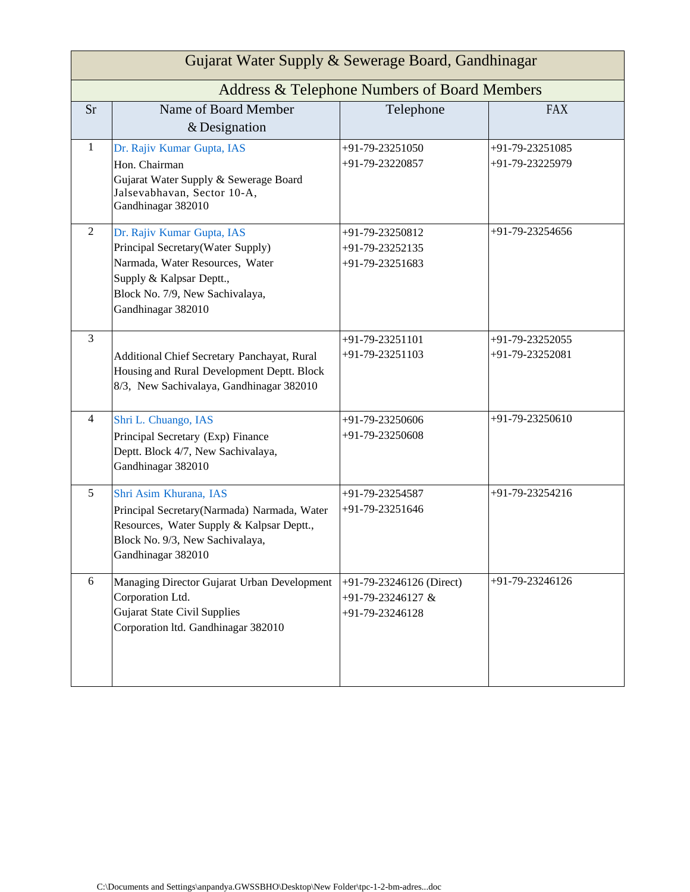| Gujarat Water Supply & Sewerage Board, Gandhinagar |                                                                                                                                                                                         |                                                                  |                                    |  |  |
|----------------------------------------------------|-----------------------------------------------------------------------------------------------------------------------------------------------------------------------------------------|------------------------------------------------------------------|------------------------------------|--|--|
| Address & Telephone Numbers of Board Members       |                                                                                                                                                                                         |                                                                  |                                    |  |  |
| <b>Sr</b>                                          | Name of Board Member<br>& Designation                                                                                                                                                   | Telephone                                                        | <b>FAX</b>                         |  |  |
| $\mathbf{1}$                                       | Dr. Rajiv Kumar Gupta, IAS<br>Hon. Chairman<br>Gujarat Water Supply & Sewerage Board<br>Jalsevabhavan, Sector 10-A,<br>Gandhinagar 382010                                               | +91-79-23251050<br>+91-79-23220857                               | +91-79-23251085<br>+91-79-23225979 |  |  |
| 2                                                  | Dr. Rajiv Kumar Gupta, IAS<br>Principal Secretary(Water Supply)<br>Narmada, Water Resources, Water<br>Supply & Kalpsar Deptt.,<br>Block No. 7/9, New Sachivalaya,<br>Gandhinagar 382010 | +91-79-23250812<br>+91-79-23252135<br>+91-79-23251683            | +91-79-23254656                    |  |  |
| 3                                                  | Additional Chief Secretary Panchayat, Rural<br>Housing and Rural Development Deptt. Block<br>8/3, New Sachivalaya, Gandhinagar 382010                                                   | +91-79-23251101<br>+91-79-23251103                               | +91-79-23252055<br>+91-79-23252081 |  |  |
| 4                                                  | Shri L. Chuango, IAS<br>Principal Secretary (Exp) Finance<br>Deptt. Block 4/7, New Sachivalaya,<br>Gandhinagar 382010                                                                   | +91-79-23250606<br>+91-79-23250608                               | +91-79-23250610                    |  |  |
| 5                                                  | Shri Asim Khurana, IAS<br>Principal Secretary(Narmada) Narmada, Water<br>Resources, Water Supply & Kalpsar Deptt.,<br>Block No. 9/3, New Sachivalaya,<br>Gandhinagar 382010             | +91-79-23254587<br>+91-79-23251646                               | +91-79-23254216                    |  |  |
| 6                                                  | Managing Director Gujarat Urban Development<br>Corporation Ltd.<br><b>Gujarat State Civil Supplies</b><br>Corporation ltd. Gandhinagar 382010                                           | +91-79-23246126 (Direct)<br>+91-79-23246127 &<br>+91-79-23246128 | +91-79-23246126                    |  |  |